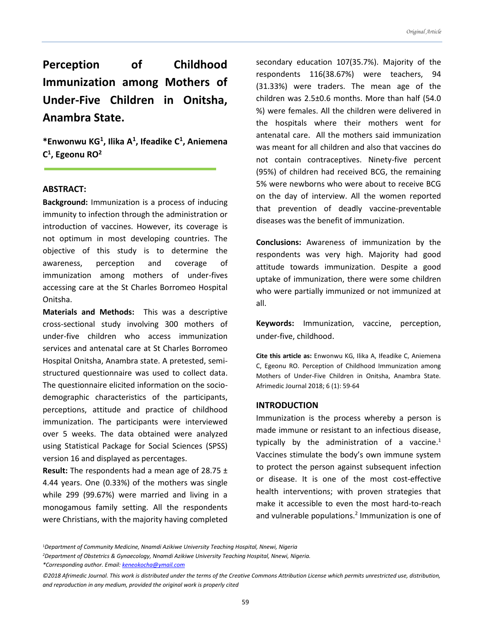**Perception of Childhood Immunization among Mothers of Under-Five Children in Onitsha, Anambra State.** 

**\*Enwonwu KG<sup>1</sup> , Ilika A<sup>1</sup> , Ifeadike C<sup>1</sup> , Aniemena C 1 , Egeonu RO<sup>2</sup>**

### **ABSTRACT:**

**Background:** Immunization is a process of inducing immunity to infection through the administration or introduction of vaccines. However, its coverage is not optimum in most developing countries. The objective of this study is to determine the awareness, perception and coverage of immunization among mothers of under-fives accessing care at the St Charles Borromeo Hospital Onitsha.

**Materials and Methods:** This was a descriptive cross-sectional study involving 300 mothers of under-five children who access immunization services and antenatal care at St Charles Borromeo Hospital Onitsha, Anambra state. A pretested, semistructured questionnaire was used to collect data. The questionnaire elicited information on the sociodemographic characteristics of the participants, perceptions, attitude and practice of childhood immunization. The participants were interviewed over 5 weeks. The data obtained were analyzed using Statistical Package for Social Sciences (SPSS) version 16 and displayed as percentages.

**Result:** The respondents had a mean age of 28.75 ± 4.44 years. One (0.33%) of the mothers was single while 299 (99.67%) were married and living in a monogamous family setting. All the respondents were Christians, with the majority having completed secondary education 107(35.7%). Majority of the respondents 116(38.67%) were teachers, 94 (31.33%) were traders. The mean age of the children was 2.5±0.6 months. More than half (54.0 %) were females. All the children were delivered in the hospitals where their mothers went for antenatal care. All the mothers said immunization was meant for all children and also that vaccines do not contain contraceptives. Ninety-five percent (95%) of children had received BCG, the remaining 5% were newborns who were about to receive BCG on the day of interview. All the women reported that prevention of deadly vaccine-preventable diseases was the benefit of immunization.

**Conclusions:** Awareness of immunization by the respondents was very high. Majority had good attitude towards immunization. Despite a good uptake of immunization, there were some children who were partially immunized or not immunized at all.

**Keywords:** Immunization, vaccine, perception, under-five, childhood.

**Cite this article as:** Enwonwu KG, Ilika A, Ifeadike C, Aniemena C, Egeonu RO. Perception of Childhood Immunization among Mothers of Under-Five Children in Onitsha, Anambra State. Afrimedic Journal 2018; 6 (1): 59-64

### **INTRODUCTION**

Immunization is the process whereby a person is made immune or resistant to an infectious disease, typically by the administration of a vaccine. $1$ Vaccines stimulate the body's own immune system to protect the person against subsequent infection or disease. It is one of the most cost-effective health interventions; with proven strategies that make it accessible to even the most hard-to-reach and vulnerable populations.<sup>2</sup> Immunization is one of

<sup>1</sup>*Department of Community Medicine, Nnamdi Azikiwe University Teaching Hospital, Nnewi, Nigeria* 

*<sup>2</sup>Department of Obstetrics & Gynaecology, Nnamdi Azikiwe University Teaching Hospital, Nnewi, Nigeria.* 

*<sup>\*</sup>Corresponding author. Email[: keneokocha@ymail.com](mailto:keneokocha@ymail.com)*

*<sup>©2018</sup> Afrimedic Journal. This work is distributed under the terms of the Creative Commons Attribution License which permits unrestricted use, distribution, and reproduction in any medium, provided the original work is properly cited*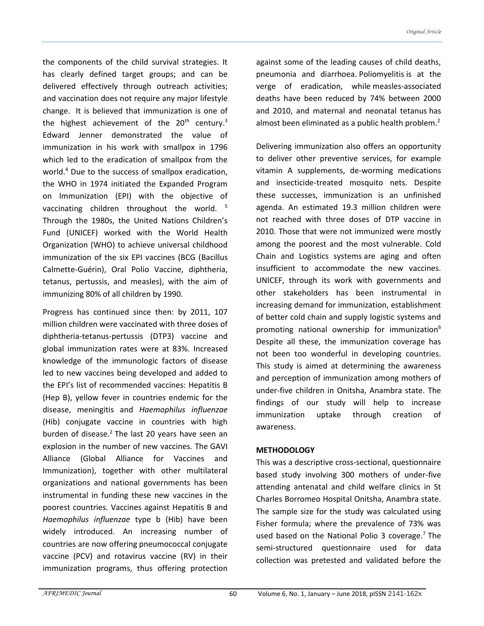the components of the child survival strategies. It has clearly defined target groups; and can be delivered effectively through outreach activities; and vaccination does not require any major lifestyle change. It is believed that immunization is one of the highest achievement of the  $20<sup>th</sup>$  century.<sup>3</sup> Edward Jenner demonstrated the value of immunization in his work with smallpox in 1796 which led to the eradication of smallpox from the world.<sup>4</sup> Due to the success of smallpox eradication, the WHO in 1974 initiated the Expanded Program on Immunization (EPI) with the objective of vaccinating children throughout the world. <sup>5</sup> Through the 1980s, the United Nations Children's Fund (UNICEF) worked with the World Health Organization (WHO) to achieve universal childhood immunization of the six EPI vaccines (BCG (Bacillus Calmette-Guérin), Oral Polio Vaccine, diphtheria, tetanus, pertussis, and measles), with the aim of immunizing 80% of all children by 1990.

Progress has continued since then: by 2011, 107 million children were vaccinated with three doses of diphtheria-tetanus-pertussis (DTP3) vaccine and global immunization rates were at 83%. Increased knowledge of the immunologic factors of disease led to new vaccines being developed and added to the EPI's list of recommended vaccines: Hepatitis B (Hep B), yellow fever in countries endemic for the disease, meningitis and *Haemophilus influenzae* (Hib) conjugate vaccine in countries with high burden of disease.<sup>2</sup> The last 20 years have seen an explosion in the number of new vaccines. The GAVI Alliance (Global Alliance for Vaccines and Immunization), together with other multilateral organizations and national governments has been instrumental in funding these new vaccines in the poorest countries. Vaccines against Hepatitis B and *Haemophilus influenzae* type b (Hib) have been widely introduced. An increasing number of countries are now offering pneumococcal conjugate vaccine (PCV) and rotavirus vaccine (RV) in their immunization programs, thus offering protection

against some of the leading causes of child deaths, pneumonia and diarrhoea. Poliomyelitis is at the verge of eradication, while measles-associated deaths have been reduced by 74% between 2000 and 2010, and maternal and neonatal tetanus has almost been eliminated as a public health problem.<sup>2</sup>

Delivering immunization also offers an opportunity to deliver other preventive services, for example vitamin A supplements, de-worming medications and insecticide-treated mosquito nets. Despite these successes, immunization is an unfinished agenda. An estimated 19.3 million children were not reached with three doses of DTP vaccine in 2010. Those that were not immunized were mostly among the poorest and the most vulnerable. Cold Chain and Logistics systems are aging and often insufficient to accommodate the new vaccines. UNICEF, through its work with governments and other stakeholders has been instrumental in increasing demand for immunization, establishment of better cold chain and supply logistic systems and promoting national ownership for immunization $6$ Despite all these, the immunization coverage has not been too wonderful in developing countries. This study is aimed at determining the awareness and perception of immunization among mothers of under-five children in Onitsha, Anambra state. The findings of our study will help to increase immunization uptake through creation of awareness.

# **METHODOLOGY**

This was a descriptive cross-sectional, questionnaire based study involving 300 mothers of under-five attending antenatal and child welfare clinics in St Charles Borromeo Hospital Onitsha, Anambra state. The sample size for the study was calculated using Fisher formula; where the prevalence of 73% was used based on the National Polio 3 coverage.<sup>7</sup> The semi-structured questionnaire used for data collection was pretested and validated before the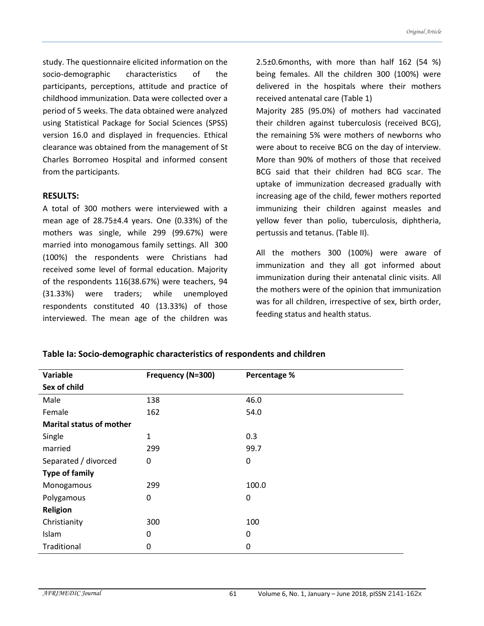study. The questionnaire elicited information on the socio-demographic characteristics of the participants, perceptions, attitude and practice of childhood immunization. Data were collected over a period of 5 weeks. The data obtained were analyzed using Statistical Package for Social Sciences (SPSS) version 16.0 and displayed in frequencies. Ethical clearance was obtained from the management of St Charles Borromeo Hospital and informed consent from the participants.

# **RESULTS:**

A total of 300 mothers were interviewed with a mean age of 28.75±4.4 years. One (0.33%) of the mothers was single, while 299 (99.67%) were married into monogamous family settings. All 300 (100%) the respondents were Christians had received some level of formal education. Majority of the respondents 116(38.67%) were teachers, 94 (31.33%) were traders; while unemployed respondents constituted 40 (13.33%) of those interviewed. The mean age of the children was 2.5±0.6months, with more than half 162 (54 %) being females. All the children 300 (100%) were delivered in the hospitals where their mothers received antenatal care (Table 1)

Majority 285 (95.0%) of mothers had vaccinated their children against tuberculosis (received BCG), the remaining 5% were mothers of newborns who were about to receive BCG on the day of interview. More than 90% of mothers of those that received BCG said that their children had BCG scar. The uptake of immunization decreased gradually with increasing age of the child, fewer mothers reported immunizing their children against measles and yellow fever than polio, tuberculosis, diphtheria, pertussis and tetanus. (Table II).

All the mothers 300 (100%) were aware of immunization and they all got informed about immunization during their antenatal clinic visits. All the mothers were of the opinion that immunization was for all children, irrespective of sex, birth order, feeding status and health status.

| Variable                        | Frequency (N=300) | Percentage % |  |
|---------------------------------|-------------------|--------------|--|
| Sex of child                    |                   |              |  |
| Male                            | 138               | 46.0         |  |
| Female                          | 162               | 54.0         |  |
| <b>Marital status of mother</b> |                   |              |  |
| Single                          | $\mathbf{1}$      | 0.3          |  |
| married                         | 299               | 99.7         |  |
| Separated / divorced            | 0                 | 0            |  |
| <b>Type of family</b>           |                   |              |  |
| Monogamous                      | 299               | 100.0        |  |
| Polygamous                      | 0                 | 0            |  |
| Religion                        |                   |              |  |
| Christianity                    | 300               | 100          |  |
| Islam                           | 0                 | 0            |  |
| Traditional                     | 0                 | 0            |  |

### **Table Ia: Socio-demographic characteristics of respondents and children**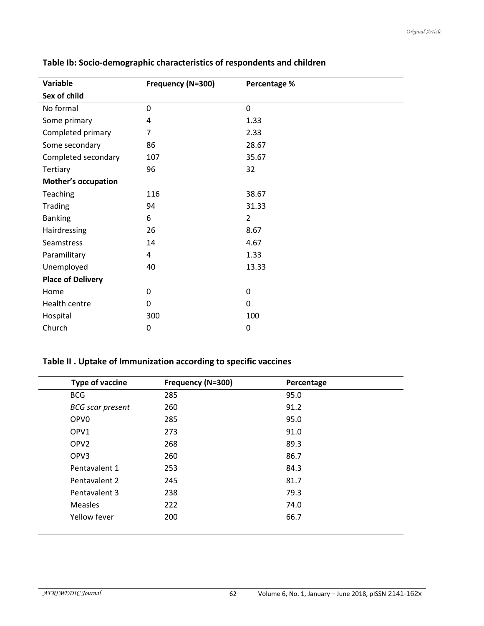| Variable                   | Frequency (N=300) | Percentage %   |  |  |
|----------------------------|-------------------|----------------|--|--|
| Sex of child               |                   |                |  |  |
| No formal                  | 0                 | $\mathbf 0$    |  |  |
| Some primary               | 4                 | 1.33           |  |  |
| Completed primary          | 7                 | 2.33           |  |  |
| Some secondary             | 86                | 28.67          |  |  |
| Completed secondary        | 107               | 35.67          |  |  |
| Tertiary                   | 96                | 32             |  |  |
| <b>Mother's occupation</b> |                   |                |  |  |
| Teaching                   | 116               | 38.67          |  |  |
| Trading                    | 94                | 31.33          |  |  |
| <b>Banking</b>             | 6                 | $\overline{2}$ |  |  |
| Hairdressing               | 26                | 8.67           |  |  |
| Seamstress                 | 14                | 4.67           |  |  |
| Paramilitary               | 4                 | 1.33           |  |  |
| Unemployed                 | 40                | 13.33          |  |  |
| <b>Place of Delivery</b>   |                   |                |  |  |
| Home                       | 0                 | 0              |  |  |
| Health centre              | 0                 | 0              |  |  |
| Hospital                   | 300               | 100            |  |  |
| Church                     | 0                 | 0              |  |  |

# **Table Ib: Socio-demographic characteristics of respondents and children**

# **Table II . Uptake of Immunization according to specific vaccines**

| Type of vaccine         | Frequency (N=300) | Percentage |
|-------------------------|-------------------|------------|
| <b>BCG</b>              | 285               | 95.0       |
| <b>BCG</b> scar present | 260               | 91.2       |
| OPV <sub>0</sub>        | 285               | 95.0       |
| OPV1                    | 273               | 91.0       |
| OPV <sub>2</sub>        | 268               | 89.3       |
| OPV3                    | 260               | 86.7       |
| Pentavalent 1           | 253               | 84.3       |
| Pentavalent 2           | 245               | 81.7       |
| Pentavalent 3           | 238               | 79.3       |
| <b>Measles</b>          | 222               | 74.0       |
| Yellow fever            | 200               | 66.7       |
|                         |                   |            |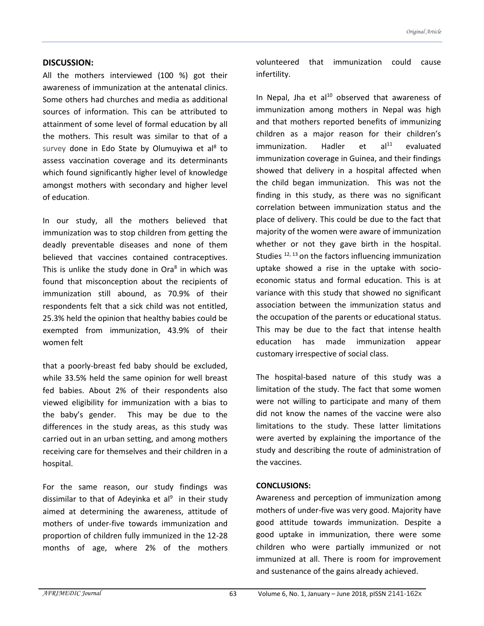# **DISCUSSION:**

All the mothers interviewed (100 %) got their awareness of immunization at the antenatal clinics. Some others had churches and media as additional sources of information. This can be attributed to attainment of some level of formal education by all the mothers. This result was similar to that of a survey done in Edo State by Olumuyiwa et al<sup>8</sup> to assess vaccination coverage and its determinants which found significantly higher level of knowledge amongst mothers with secondary and higher level of education.

In our study, all the mothers believed that immunization was to stop children from getting the deadly preventable diseases and none of them believed that vaccines contained contraceptives. This is unlike the study done in Ora<sup>8</sup> in which was found that misconception about the recipients of immunization still abound, as 70.9% of their respondents felt that a sick child was not entitled, 25.3% held the opinion that healthy babies could be exempted from immunization, 43.9% of their women felt

that a poorly-breast fed baby should be excluded, while 33.5% held the same opinion for well breast fed babies. About 2% of their respondents also viewed eligibility for immunization with a bias to the baby's gender. This may be due to the differences in the study areas, as this study was carried out in an urban setting, and among mothers receiving care for themselves and their children in a hospital.

For the same reason, our study findings was dissimilar to that of Adeyinka et al<sup>9</sup> in their study aimed at determining the awareness, attitude of mothers of under-five towards immunization and proportion of children fully immunized in the 12-28 months of age, where 2% of the mothers volunteered that immunization could cause infertility.

In Nepal, Jha et al $10$  observed that awareness of immunization among mothers in Nepal was high and that mothers reported benefits of immunizing children as a major reason for their children's  $immunization.$  Hadler et al $<sup>11</sup>$  evaluated</sup> immunization coverage in Guinea, and their findings showed that delivery in a hospital affected when the child began immunization. This was not the finding in this study, as there was no significant correlation between immunization status and the place of delivery. This could be due to the fact that majority of the women were aware of immunization whether or not they gave birth in the hospital. Studies  $^{12, 13}$  on the factors influencing immunization uptake showed a rise in the uptake with socioeconomic status and formal education. This is at variance with this study that showed no significant association between the immunization status and the occupation of the parents or educational status. This may be due to the fact that intense health education has made immunization appear customary irrespective of social class.

The hospital-based nature of this study was a limitation of the study. The fact that some women were not willing to participate and many of them did not know the names of the vaccine were also limitations to the study. These latter limitations were averted by explaining the importance of the study and describing the route of administration of the vaccines.

### **CONCLUSIONS:**

Awareness and perception of immunization among mothers of under-five was very good. Majority have good attitude towards immunization. Despite a good uptake in immunization, there were some children who were partially immunized or not immunized at all. There is room for improvement and sustenance of the gains already achieved.